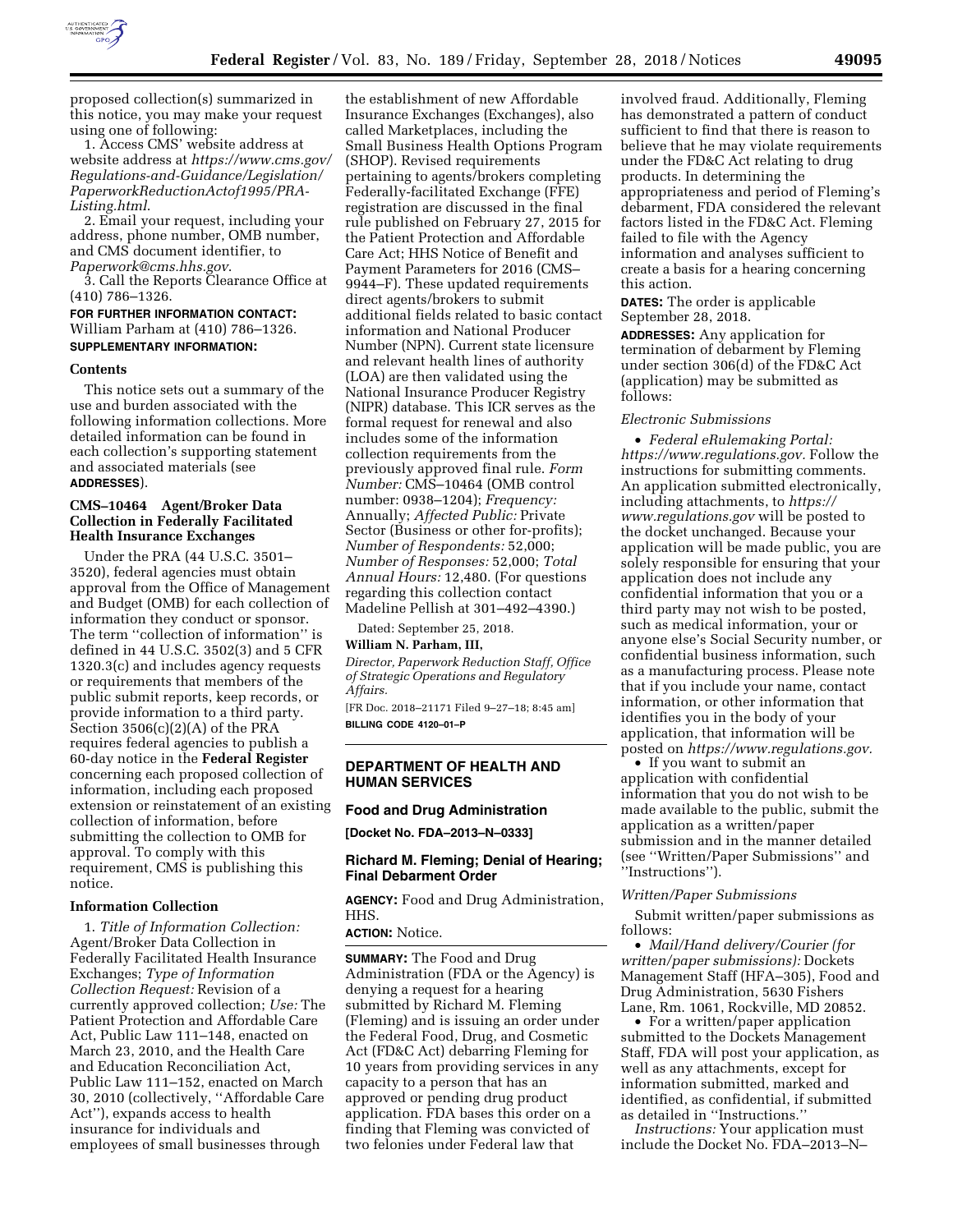

proposed collection(s) summarized in this notice, you may make your request using one of following:

1. Access CMS' website address at website address at *[https://www.cms.gov/](https://www.cms.gov/Regulations-and-Guidance/Legislation/PaperworkReductionActof1995/PRA-Listing.html) [Regulations-and-Guidance/Legislation/](https://www.cms.gov/Regulations-and-Guidance/Legislation/PaperworkReductionActof1995/PRA-Listing.html)  [PaperworkReductionActof1995/PRA-](https://www.cms.gov/Regulations-and-Guidance/Legislation/PaperworkReductionActof1995/PRA-Listing.html)[Listing.html](https://www.cms.gov/Regulations-and-Guidance/Legislation/PaperworkReductionActof1995/PRA-Listing.html)*.

2. Email your request, including your address, phone number, OMB number, and CMS document identifier, to *[Paperwork@cms.hhs.gov](mailto:Paperwork@cms.hhs.gov)*.

3. Call the Reports Clearance Office at (410) 786–1326.

## **FOR FURTHER INFORMATION CONTACT:**  William Parham at (410) 786–1326. **SUPPLEMENTARY INFORMATION:**

#### **Contents**

This notice sets out a summary of the use and burden associated with the following information collections. More detailed information can be found in each collection's supporting statement and associated materials (see **ADDRESSES**).

## **CMS–10464 Agent/Broker Data Collection in Federally Facilitated Health Insurance Exchanges**

Under the PRA (44 U.S.C. 3501– 3520), federal agencies must obtain approval from the Office of Management and Budget (OMB) for each collection of information they conduct or sponsor. The term ''collection of information'' is defined in 44 U.S.C. 3502(3) and 5 CFR 1320.3(c) and includes agency requests or requirements that members of the public submit reports, keep records, or provide information to a third party. Section 3506(c)(2)(A) of the PRA requires federal agencies to publish a 60-day notice in the **Federal Register**  concerning each proposed collection of information, including each proposed extension or reinstatement of an existing collection of information, before submitting the collection to OMB for approval. To comply with this requirement, CMS is publishing this notice.

#### **Information Collection**

1. *Title of Information Collection:*  Agent/Broker Data Collection in Federally Facilitated Health Insurance Exchanges; *Type of Information Collection Request:* Revision of a currently approved collection; *Use:* The Patient Protection and Affordable Care Act, Public Law 111–148, enacted on March 23, 2010, and the Health Care and Education Reconciliation Act, Public Law 111–152, enacted on March 30, 2010 (collectively, ''Affordable Care Act''), expands access to health insurance for individuals and employees of small businesses through

the establishment of new Affordable Insurance Exchanges (Exchanges), also called Marketplaces, including the Small Business Health Options Program (SHOP). Revised requirements pertaining to agents/brokers completing Federally-facilitated Exchange (FFE) registration are discussed in the final rule published on February 27, 2015 for the Patient Protection and Affordable Care Act; HHS Notice of Benefit and Payment Parameters for 2016 (CMS– 9944–F). These updated requirements direct agents/brokers to submit additional fields related to basic contact information and National Producer Number (NPN). Current state licensure and relevant health lines of authority (LOA) are then validated using the National Insurance Producer Registry (NIPR) database. This ICR serves as the formal request for renewal and also includes some of the information collection requirements from the previously approved final rule. *Form Number:* CMS–10464 (OMB control number: 0938–1204); *Frequency:*  Annually; *Affected Public:* Private Sector (Business or other for-profits); *Number of Respondents:* 52,000; *Number of Responses:* 52,000; *Total Annual Hours:* 12,480. (For questions regarding this collection contact Madeline Pellish at 301–492–4390.)

Dated: September 25, 2018.

#### **William N. Parham, III,**

*Director, Paperwork Reduction Staff, Office of Strategic Operations and Regulatory Affairs.* 

[FR Doc. 2018–21171 Filed 9–27–18; 8:45 am] **BILLING CODE 4120–01–P** 

### **DEPARTMENT OF HEALTH AND HUMAN SERVICES**

#### **Food and Drug Administration**

**[Docket No. FDA–2013–N–0333]** 

### **Richard M. Fleming; Denial of Hearing; Final Debarment Order**

**AGENCY:** Food and Drug Administration, HHS.

#### **ACTION:** Notice.

**SUMMARY:** The Food and Drug Administration (FDA or the Agency) is denying a request for a hearing submitted by Richard M. Fleming (Fleming) and is issuing an order under the Federal Food, Drug, and Cosmetic Act (FD&C Act) debarring Fleming for 10 years from providing services in any capacity to a person that has an approved or pending drug product application. FDA bases this order on a finding that Fleming was convicted of two felonies under Federal law that

involved fraud. Additionally, Fleming has demonstrated a pattern of conduct sufficient to find that there is reason to believe that he may violate requirements under the FD&C Act relating to drug products. In determining the appropriateness and period of Fleming's debarment, FDA considered the relevant factors listed in the FD&C Act. Fleming failed to file with the Agency information and analyses sufficient to create a basis for a hearing concerning this action.

**DATES:** The order is applicable September 28, 2018.

**ADDRESSES:** Any application for termination of debarment by Fleming under section 306(d) of the FD&C Act (application) may be submitted as follows:

#### *Electronic Submissions*

• *Federal eRulemaking Portal: [https://www.regulations.gov.](https://www.regulations.gov)* Follow the instructions for submitting comments. An application submitted electronically, including attachments, to *[https://](https://www.regulations.gov) [www.regulations.gov](https://www.regulations.gov)* will be posted to the docket unchanged. Because your application will be made public, you are solely responsible for ensuring that your application does not include any confidential information that you or a third party may not wish to be posted, such as medical information, your or anyone else's Social Security number, or confidential business information, such as a manufacturing process. Please note that if you include your name, contact information, or other information that identifies you in the body of your application, that information will be posted on *[https://www.regulations.gov.](https://www.regulations.gov)* 

• If you want to submit an application with confidential information that you do not wish to be made available to the public, submit the application as a written/paper submission and in the manner detailed (see ''Written/Paper Submissions'' and ''Instructions'').

## *Written/Paper Submissions*

Submit written/paper submissions as follows:

• *Mail/Hand delivery/Courier (for written/paper submissions):* Dockets Management Staff (HFA–305), Food and Drug Administration, 5630 Fishers Lane, Rm. 1061, Rockville, MD 20852.

• For a written/paper application submitted to the Dockets Management Staff, FDA will post your application, as well as any attachments, except for information submitted, marked and identified, as confidential, if submitted as detailed in ''Instructions.''

*Instructions:* Your application must include the Docket No. FDA–2013–N–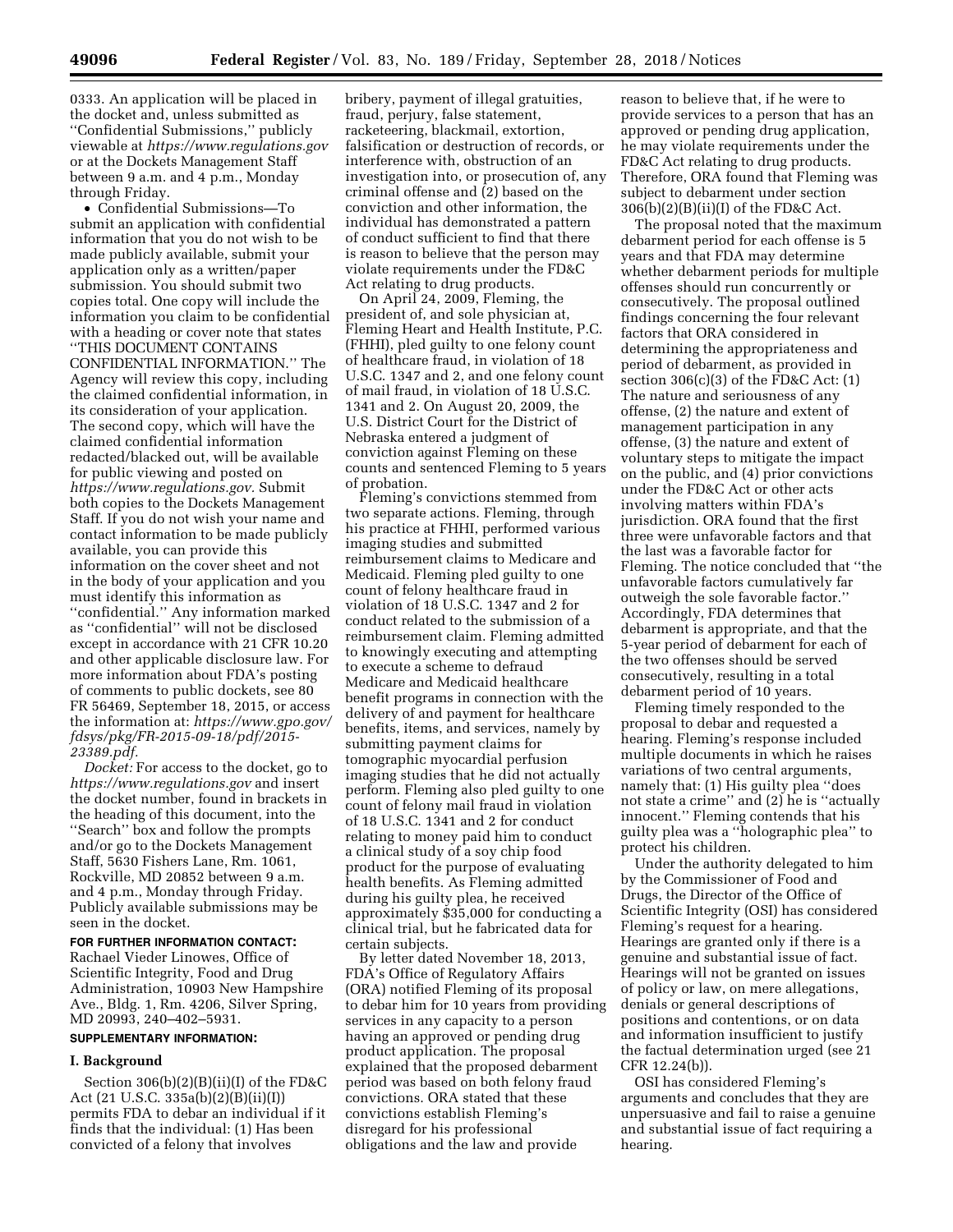0333. An application will be placed in the docket and, unless submitted as ''Confidential Submissions,'' publicly viewable at *<https://www.regulations.gov>* or at the Dockets Management Staff between 9 a.m. and 4 p.m., Monday through Friday.

• Confidential Submissions—To submit an application with confidential information that you do not wish to be made publicly available, submit your application only as a written/paper submission. You should submit two copies total. One copy will include the information you claim to be confidential with a heading or cover note that states

''THIS DOCUMENT CONTAINS CONFIDENTIAL INFORMATION.'' The Agency will review this copy, including the claimed confidential information, in its consideration of your application. The second copy, which will have the claimed confidential information redacted/blacked out, will be available for public viewing and posted on *[https://www.regulations.gov.](https://www.regulations.gov)* Submit both copies to the Dockets Management Staff. If you do not wish your name and contact information to be made publicly available, you can provide this information on the cover sheet and not in the body of your application and you must identify this information as ''confidential.'' Any information marked as ''confidential'' will not be disclosed except in accordance with 21 CFR 10.20 and other applicable disclosure law. For more information about FDA's posting of comments to public dockets, see 80 FR 56469, September 18, 2015, or access the information at: *[https://www.gpo.gov/](https://www.gpo.gov/fdsys/pkg/FR-2015-09-18/pdf/2015-23389.pdf) [fdsys/pkg/FR-2015-09-18/pdf/2015-](https://www.gpo.gov/fdsys/pkg/FR-2015-09-18/pdf/2015-23389.pdf)  [23389.pdf.](https://www.gpo.gov/fdsys/pkg/FR-2015-09-18/pdf/2015-23389.pdf)* 

*Docket:* For access to the docket, go to *<https://www.regulations.gov>* and insert the docket number, found in brackets in the heading of this document, into the ''Search'' box and follow the prompts and/or go to the Dockets Management Staff, 5630 Fishers Lane, Rm. 1061, Rockville, MD 20852 between 9 a.m. and 4 p.m., Monday through Friday. Publicly available submissions may be seen in the docket.

# **FOR FURTHER INFORMATION CONTACT:**

Rachael Vieder Linowes, Office of Scientific Integrity, Food and Drug Administration, 10903 New Hampshire Ave., Bldg. 1, Rm. 4206, Silver Spring, MD 20993, 240–402–5931.

### **SUPPLEMENTARY INFORMATION:**

#### **I. Background**

Section 306(b)(2)(B)(ii)(I) of the FD&C Act (21 U.S.C. 335a(b)(2)(B)(ii)(I)) permits FDA to debar an individual if it finds that the individual: (1) Has been convicted of a felony that involves

bribery, payment of illegal gratuities, fraud, perjury, false statement, racketeering, blackmail, extortion, falsification or destruction of records, or interference with, obstruction of an investigation into, or prosecution of, any criminal offense and (2) based on the conviction and other information, the individual has demonstrated a pattern of conduct sufficient to find that there is reason to believe that the person may violate requirements under the FD&C Act relating to drug products.

On April 24, 2009, Fleming, the president of, and sole physician at, Fleming Heart and Health Institute, P.C. (FHHI), pled guilty to one felony count of healthcare fraud, in violation of 18 U.S.C. 1347 and 2, and one felony count of mail fraud, in violation of 18 U.S.C. 1341 and 2. On August 20, 2009, the U.S. District Court for the District of Nebraska entered a judgment of conviction against Fleming on these counts and sentenced Fleming to 5 years of probation.

Fleming's convictions stemmed from two separate actions. Fleming, through his practice at FHHI, performed various imaging studies and submitted reimbursement claims to Medicare and Medicaid. Fleming pled guilty to one count of felony healthcare fraud in violation of 18 U.S.C. 1347 and 2 for conduct related to the submission of a reimbursement claim. Fleming admitted to knowingly executing and attempting to execute a scheme to defraud Medicare and Medicaid healthcare benefit programs in connection with the delivery of and payment for healthcare benefits, items, and services, namely by submitting payment claims for tomographic myocardial perfusion imaging studies that he did not actually perform. Fleming also pled guilty to one count of felony mail fraud in violation of 18 U.S.C. 1341 and 2 for conduct relating to money paid him to conduct a clinical study of a soy chip food product for the purpose of evaluating health benefits. As Fleming admitted during his guilty plea, he received approximately \$35,000 for conducting a clinical trial, but he fabricated data for certain subjects.

By letter dated November 18, 2013, FDA's Office of Regulatory Affairs (ORA) notified Fleming of its proposal to debar him for 10 years from providing services in any capacity to a person having an approved or pending drug product application. The proposal explained that the proposed debarment period was based on both felony fraud convictions. ORA stated that these convictions establish Fleming's disregard for his professional obligations and the law and provide

reason to believe that, if he were to provide services to a person that has an approved or pending drug application, he may violate requirements under the FD&C Act relating to drug products. Therefore, ORA found that Fleming was subject to debarment under section 306(b)(2)(B)(ii)(I) of the FD&C Act.

The proposal noted that the maximum debarment period for each offense is 5 years and that FDA may determine whether debarment periods for multiple offenses should run concurrently or consecutively. The proposal outlined findings concerning the four relevant factors that ORA considered in determining the appropriateness and period of debarment, as provided in section  $306(c)(3)$  of the FD&C Act:  $(1)$ The nature and seriousness of any offense, (2) the nature and extent of management participation in any offense, (3) the nature and extent of voluntary steps to mitigate the impact on the public, and (4) prior convictions under the FD&C Act or other acts involving matters within FDA's jurisdiction. ORA found that the first three were unfavorable factors and that the last was a favorable factor for Fleming. The notice concluded that ''the unfavorable factors cumulatively far outweigh the sole favorable factor.'' Accordingly, FDA determines that debarment is appropriate, and that the 5-year period of debarment for each of the two offenses should be served consecutively, resulting in a total debarment period of 10 years.

Fleming timely responded to the proposal to debar and requested a hearing. Fleming's response included multiple documents in which he raises variations of two central arguments, namely that: (1) His guilty plea ''does not state a crime'' and (2) he is ''actually innocent.'' Fleming contends that his guilty plea was a ''holographic plea'' to protect his children.

Under the authority delegated to him by the Commissioner of Food and Drugs, the Director of the Office of Scientific Integrity (OSI) has considered Fleming's request for a hearing. Hearings are granted only if there is a genuine and substantial issue of fact. Hearings will not be granted on issues of policy or law, on mere allegations, denials or general descriptions of positions and contentions, or on data and information insufficient to justify the factual determination urged (see 21 CFR 12.24(b)).

OSI has considered Fleming's arguments and concludes that they are unpersuasive and fail to raise a genuine and substantial issue of fact requiring a hearing.